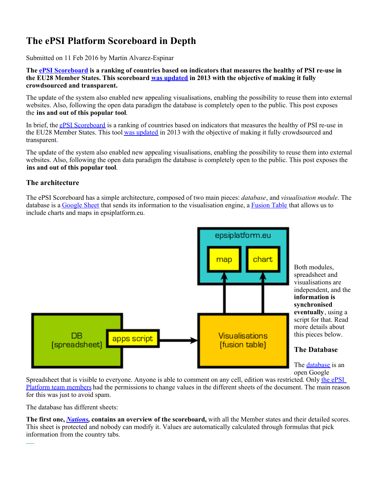# **The ePSI Platform Scoreboard in Depth**

Submitted on 11 Feb 2016 by Martin Alvarez-Espinar

**The [ePSI Scoreboard](http://www.epsiplatform.eu/content/european-psi-scoreboard) is a ranking of countries based on indicators that measures the healthy of PSI re-use in the EU28 Member States. This scoreboard [was updated](http://www.epsiplatform.eu/content/new-epsi-scoreboard-released) in 2013 with the objective of making it fully crowdsourced and transparent.**

The update of the system also enabled new appealing visualisations, enabling the possibility to reuse them into external websites. Also, following the open data paradigm the database is completely open to the public. This post exposes the **ins and out of this popular tool**.

In brief, the [ePSI Scoreboard](http://www.epsiplatform.eu/content/european-psi-scoreboard) is a ranking of countries based on indicators that measures the healthy of PSI re-use in the EU28 Member States. This tool [was updated](http://www.epsiplatform.eu/content/new-epsi-scoreboard-released) in 2013 with the objective of making it fully crowdsourced and transparent.

The update of the system also enabled new appealing visualisations, enabling the possibility to reuse them into external websites. Also, following the open data paradigm the database is completely open to the public. This post exposes the **ins and out of this popular tool**.

## **The architecture**

The ePSI Scoreboard has a simple architecture, composed of two main pieces: *database*, and *visualisation module*. The database is a [Google Sheet](https://www.google.com/sheets/about/) that sends its information to the visualisation engine, a [Fusion Table](https://support.google.com/fusiontables/answer/2571232) that allows us to include charts and maps in epsiplatform.eu.



Spreadsheet that is visible to everyone. Anyone is able to comment on any cell, edition was restricted. Only [the ePSI](http://www.epsiplatform.eu/experts) [Platform team members](http://www.epsiplatform.eu/experts) had the permissions to change values in the different sheets of the document. The main reason for this was just to avoid spam.

The database has different sheets:

**The first one,** *[Nations](http://goo.gl/3P40M#gid=0)***, contains an overview of the scoreboard,** with all the Member states and their detailed scores. This sheet is protected and nobody can modify it. Values are automatically calculated through formulas that pick information from the country tabs.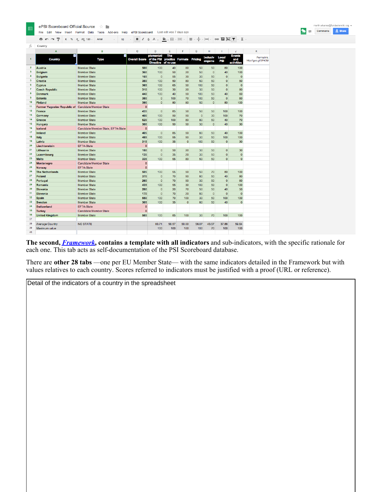

● m → P £ % .0 .0 123 - Arial  $\cdot$  10  $\cdot$  B  $I \oplus A$   $\cdot$   $\frac{\infty}{2}$   $\cdot$   $\frac{1}{2}$   $\cdot$   $\frac{1}{2}$   $\cdot$   $\frac{1}{4}$   $\cdot$   $\left| -1 \right|$   $\cdot$   $\circ$   $\frac{1}{2}$   $\frac{1}{2}$   $\cdot$   $\frac{1}{2}$   $\cdot$ 

| Ťх                      | Country                                            |                                    |                      |                                                                  |            |                |                |                   |                |                                    |                                   |
|-------------------------|----------------------------------------------------|------------------------------------|----------------------|------------------------------------------------------------------|------------|----------------|----------------|-------------------|----------------|------------------------------------|-----------------------------------|
|                         | A                                                  | <b>B</b>                           | c                    | <sub>D</sub>                                                     | E          | F              | Ġ              | H                 |                | ä,                                 | ĸ                                 |
| 1                       | ⊡<br>Country                                       | ь<br><b>Type</b>                   | <b>Overall Score</b> | plementati<br>of the PSI practice Formats<br>Directive of re-use | <b>The</b> |                | Pricing        | xclusiv<br>angeme | Local<br>PSI   | <b>Events</b><br>and<br>activities | Permalink:<br>http://goo.gl/3P40M |
| $\overline{2}$          | <b>Austria</b>                                     | <b>Member State</b>                | 500                  | 100                                                              | 40         | 80             | 50             | 50                | 80             | 100                                |                                   |
| $\overline{\mathbf{3}}$ | <b>Belgium</b>                                     | <b>Member State</b>                | 360                  | 100                                                              | 50         | 20             | 50             | $\mathbf{0}$      | 40             | 100                                |                                   |
| 4                       | <b>Bulgaria</b>                                    | <b>Member State</b>                | 165                  | $\Omega$                                                         | 55         | 30             | 30             | 50                | $\Omega$       | $\Omega$                           |                                   |
| 5                       | <b>Croatia</b>                                     | <b>Member State</b>                | 380                  | 100                                                              | 50         | 80             | 50             | 50                | $\mathbf 0$    | 50                                 |                                   |
| 6                       | Cyprus                                             | <b>Member State</b>                | 365                  | 100                                                              | 65         | 50             | 100            | 50                | $\Omega$       | $\mathbf{0}$                       |                                   |
| $\overline{7}$          | <b>Czech Republic</b>                              | <b>Member State</b>                | 310                  | 100                                                              | 30         | 20             | 30             | 50                | $\mathbf{0}$   | 80                                 |                                   |
| 8                       | <b>Denmark</b>                                     | <b>Member State</b>                | 440                  | 100                                                              | 40         | 50             | 100            | 50                | 40             | 60                                 |                                   |
| $\overline{9}$          | <b>Estonia</b>                                     | <b>Member State</b>                | 380                  | $\mathbf{0}$                                                     | 100        | 70             | 100            | 50                | $\mathbf{0}$   | 60                                 |                                   |
| 10                      | <b>Finland</b>                                     | <b>Member State</b>                | 390                  | $\mathbf{0}$                                                     | 80         | 80             | 50             | $\overline{0}$    | 80             | 100                                |                                   |
| 11                      | Former Yugoslav Republic of Candidate Member State |                                    | $\mathbf{0}$         |                                                                  |            |                |                |                   |                |                                    |                                   |
| 12                      | <b>France</b>                                      | <b>Member State</b>                | 435                  | $\mathbf{0}$                                                     | 85         | 50             | 50             | 50                | 100            | 100                                |                                   |
| 13                      | Germany                                            | <b>Member State</b>                | 400                  | 100                                                              | 50         | 50             | $\overline{0}$ | 30                | 100            | 70                                 |                                   |
| 14                      | <b>Greece</b>                                      | Member State                       | 520                  | 100                                                              | 100        | 80             | 80             | 50                | 40             | 70                                 |                                   |
| 15                      | <b>Hungary</b>                                     | <b>Member State</b>                | 300                  | 100                                                              | 50         | 50             | 30             | $\overline{0}$    | 40             | 30                                 |                                   |
| 16                      | Iceland                                            | Candidate Member State, EFTA-State | $\mathbf{0}$         |                                                                  |            |                |                |                   |                |                                    |                                   |
| 17                      | Ireland                                            | <b>Member State</b>                | 405                  | $\mathbf{0}$                                                     | 85         | 50             | 80             | 50                | 40             | 100                                |                                   |
| 18                      | <b>Italy</b>                                       | <b>Member State</b>                | 485                  | 100                                                              | 55         | 50             | 30             | 50                | 100            | 100                                |                                   |
| 19                      | Latvia                                             | Member State                       | 315                  | 100                                                              | 35         | $\Omega$       | 100            | 50                | $\Omega$       | 30                                 |                                   |
| 20                      | Liechtenstein                                      | <b>EFTA-State</b>                  | $\mathbf{0}$         |                                                                  |            |                |                |                   |                |                                    |                                   |
| 21                      | Lithuania                                          | Member State                       | 180                  | $\Omega$                                                         | 50         | 20             | 30             | 50                | $\Omega$       | 30                                 |                                   |
| 22                      | Luxembourg                                         | <b>Member State</b>                | 135                  | $\mathbf{0}$                                                     | 35         | 20             | 30             | 50                | $\overline{0}$ | $\mathbf 0$                        |                                   |
| 23                      | <b>Malta</b>                                       | <b>Member State</b>                | 335                  | 100                                                              | 55         | 80             | 50             | 50                | $\overline{0}$ | $\mathbf{0}$                       |                                   |
| 24                      | Montenegro                                         | <b>Candidate Member State</b>      | $\mathbf{0}$         |                                                                  |            |                |                |                   |                |                                    |                                   |
| 25                      | <b>Norway</b>                                      | <b>EFTA-State</b>                  | $\mathbf{0}$         |                                                                  |            |                |                |                   |                |                                    |                                   |
| 26                      | <b>The Netherlands</b>                             | <b>Member State</b>                | 505                  | 100                                                              | 55         | 50             | 50             | 70                | 80             | 100                                |                                   |
| 27                      | Poland                                             | <b>Member State</b>                | 370                  | $\Omega$                                                         | 70         | 50             | 80             | 50                | 40             | 80                                 |                                   |
| 28                      | Portugal                                           | <b>Member State</b>                | 260                  | $\mathbf{0}$                                                     | 70         | 50             | 30             | 50                | $\mathbf{0}$   | 60                                 |                                   |
| 29                      | Romania                                            | <b>Member State</b>                | 435                  | 100                                                              | 55         | 30             | 100            | 50                | $\overline{0}$ | 100                                |                                   |
| 30                      | <b>Slovakia</b>                                    | <b>Member State</b>                | 280                  | $\mathbf{0}$                                                     | 20         | 70             | 50             | 50                | 40             | 50                                 |                                   |
| 31                      | <b>Slovenia</b>                                    | <b>Member State</b>                | 170                  | $\overline{0}$                                                   | 70         | 20             | 80             | $\mathbf{0}$      | $\mathbf{0}$   | $\overline{0}$                     |                                   |
| 32                      | <b>Spain</b>                                       | <b>Member State</b>                | 550                  | 100                                                              | 70         | 100            | 30             | 50                | 100            | 100                                |                                   |
| 33                      | <b>Sweden</b>                                      | <b>Member State</b>                | 305                  | 100                                                              | 35         | $\overline{0}$ | 80             | 50                | 40             | $\mathbf{0}$                       |                                   |
| 34                      | <b>Switzerland</b>                                 | <b>FFTA-State</b>                  | $\bf{0}$             |                                                                  |            |                |                |                   |                |                                    |                                   |
| 35                      | <b>Turkey</b>                                      | <b>Candidate Member State</b>      | $\mathbf{0}$         |                                                                  |            |                |                |                   |                |                                    |                                   |
| 36                      | <b>United Kingdom</b>                              | <b>Member State</b>                | 585                  | 100                                                              | 85         | 100            | 30             | 70                | 100            | 100                                |                                   |
| 37                      |                                                    |                                    |                      |                                                                  |            |                |                |                   |                |                                    |                                   |
| 38                      | <b>Average Country</b>                             | <b>NO STATE</b>                    |                      | 60.71                                                            | 58.57      | 50.00          | 56.07          | 43.57             | 37.86          | 59.64                              |                                   |
| 39                      | Maximum value                                      |                                    |                      | 100                                                              | 100        | 100            | 100            | 70                | 100            | 100                                |                                   |
| 40                      |                                                    |                                    |                      |                                                                  |            |                |                |                   |                |                                    |                                   |

**The second,** *[Framework](http://goo.gl/3P40M#gid=2)***, contains a template with all indicators** and sub-indicators, with the specific rationale for each one. This tab acts as self-documentation of the PSI Scoreboard database.

There are **other 28 tabs** —one per EU Member State— with the same indicators detailed in the Framework but with values relatives to each country. Scores referred to indicators must be justified with a proof (URL or reference).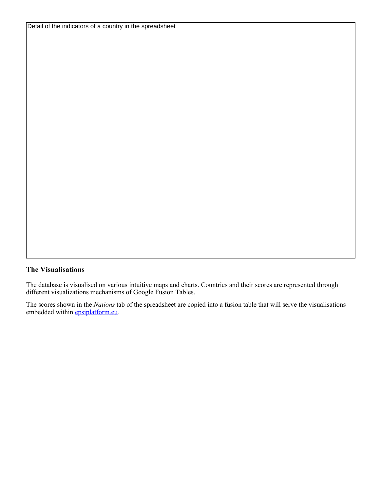## **The Visualisations**

The database is visualised on various intuitive maps and charts. Countries and their scores are represented through different visualizations mechanisms of Google Fusion Tables.

The scores shown in the *Nations* tab of the spreadsheet are copied into a fusion table that will serve the visualisations embedded within **[epsiplatform.eu](http://epsiplatform.eu).**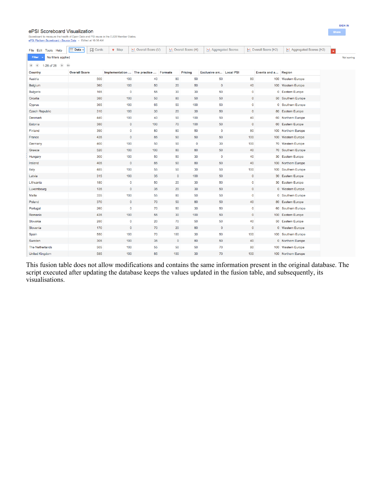#### ePSI Scoreboard Visualization

ard to measure the health of Open Data and PSI reuse in the EU28 Member States.

| ePSI Platform Scoreboard - Source Data - Edited at 10:56 AM                    |                                              |                                       |                             |             |                     |                            |             |                      |                                 |
|--------------------------------------------------------------------------------|----------------------------------------------|---------------------------------------|-----------------------------|-------------|---------------------|----------------------------|-------------|----------------------|---------------------------------|
| File Edit Tools Help                                                           | Data $\blacktriangleright$<br><b>H</b> Cards | $Q$ Map                               | <b>∴*</b> Overall Score (V) |             | ∴ Overall Score (H) | <b>:</b> Aggregated Scores |             | ∴ Overall Score (H2) | <b>∴</b> Aggregated Scores (H2) |
| No filters applied<br><b>Filter</b><br>1-28 of 28<br>$\bigcirc$<br>$ 4 $ $ 4 $ | $\left\vert \mathbf{b}\right\vert$           |                                       |                             |             |                     |                            |             |                      |                                 |
| Country                                                                        | <b>Overall Score</b>                         | Implementation  The practice  Formats |                             |             | Pricing             | Exclusive arr Local PSI    |             | Events and a Region  |                                 |
| Austria                                                                        | 500                                          | 100                                   | 40                          | 80          | 50                  | 50                         | 80          |                      | 100 Western Europe              |
| Belgium                                                                        | 360                                          | 100                                   | 50                          | 20          | 50                  | $\overline{0}$             | 40          |                      | 100 Western Europe              |
| <b>Bulgaria</b>                                                                | 165                                          | $\mathbf 0$                           | 55                          | 30          | 30                  | 50                         | $\bf{0}$    |                      | 0 Eastern Europe                |
| Croatia                                                                        | 380                                          | 100                                   | 50                          | 80          | 50                  | 50                         | $\mathbf 0$ |                      | 50 Southern Europe              |
| Cyprus                                                                         | 365                                          | 100                                   | 65                          | 50          | 100                 | 50                         | $\mathbf 0$ |                      | 0 Southern Europe               |
| <b>Czech Republic</b>                                                          | 310                                          | 100                                   | 30                          | 20          | 30                  | 50                         | $\bf 0$     |                      | 80 Eastern Europe               |
| Denmark                                                                        | 440                                          | 100                                   | 40                          | 50          | 100                 | 50                         | 40          |                      | 60 Northern Europe              |
| Estonia                                                                        | 380                                          | $\mathbf 0$                           | 100                         | 70          | 100                 | 50                         | $\mathbf 0$ |                      | 60 Eastern Europe               |
| Finland                                                                        | 390                                          | $\pmb{0}$                             | 80                          | 80          | 50                  | 0                          | 80          |                      | 100 Northern Europe             |
| France                                                                         | 435                                          | $\mathbf 0$                           | 85                          | 50          | 50                  | 50                         | 100         |                      | 100 Western Europe              |
| Germany                                                                        | 400                                          | 100                                   | 50                          | 50          | $\pmb{0}$           | 30                         | 100         |                      | 70 Western Europe               |
| Greece                                                                         | 520                                          | 100                                   | 100                         | 80          | 80                  | 50                         | 40          |                      | 70 Southern Europe              |
| Hungary                                                                        | 300                                          | 100                                   | 50                          | 50          | 30                  | 0                          | 40          |                      | 30 Eastern Europe               |
| Ireland                                                                        | 405                                          | $\overline{0}$                        | 85                          | 50          | 80                  | 50                         | 40          |                      | 100 Northern Europe             |
| Italy                                                                          | 485                                          | 100                                   | 55                          | 50          | 30                  | 50                         | 100         |                      | 100 Southern Europe             |
| Latvia                                                                         | 315                                          | 100                                   | 35                          | $\mathbf 0$ | 100                 | 50                         | $\mathbf 0$ |                      | 30 Eastern Europe               |
| Lithuania                                                                      | 180                                          | $\mathbf 0$                           | 50                          | 20          | 30                  | 50                         | $\pmb{0}$   |                      | 30 Eastern Europe               |
| Luxembourg                                                                     | 135                                          | $\mathbf 0$                           | 35                          | 20          | 30                  | 50                         | $\mathbf 0$ |                      | 0 Western Europe                |
| Malta                                                                          | 335                                          | 100                                   | 55                          | 80          | 50                  | 50                         | $\pmb{0}$   |                      | 0 Southern Europe               |
| Poland                                                                         | 370                                          | $\mathbf 0$                           | 70                          | 50          | 80                  | 50                         | 40          |                      | 80 Eastern Europe               |
| Portugal                                                                       | 260                                          | 0                                     | 70                          | 50          | 30                  | 50                         | 0           |                      | 60 Southern Europe              |
| Romania                                                                        | 435                                          | 100                                   | 55                          | 30          | 100                 | 50                         | $\mathbf 0$ |                      | 100 Eastern Europe              |
| Slovakia                                                                       | 280                                          | $\mathbf 0$                           | 20                          | 70          | 50                  | 50                         | 40          |                      | 50 Eastern Europe               |
| Slovenia                                                                       | 170                                          | $\mathbf 0$                           | 70                          | 20          | 80                  | $\mathbf 0$                | $\mathbf 0$ |                      | 0 Western Europe                |
| Spain                                                                          | 550                                          | 100                                   | 70                          | 100         | 30                  | 50                         | 100         |                      | 100 Southern Europe             |
| Sweden                                                                         | 305                                          | 100                                   | 35                          | $\mathbf 0$ | 80                  | 50                         | 40          |                      | 0 Northern Europe               |
| The Netherlands                                                                | 505                                          | 100                                   | 55                          | 50          | 50                  | 70                         | 80          |                      | 100 Western Europe              |
| <b>United Kingdom</b>                                                          | 585                                          | 100                                   | 85                          | 100         | 30                  | 70                         | 100         |                      | 100 Northern Europe             |

This fusion table does not allow modifications and contains the same information present in the original database. The script executed after updating the database keeps the values updated in the fusion table, and subsequently, its visualisations.